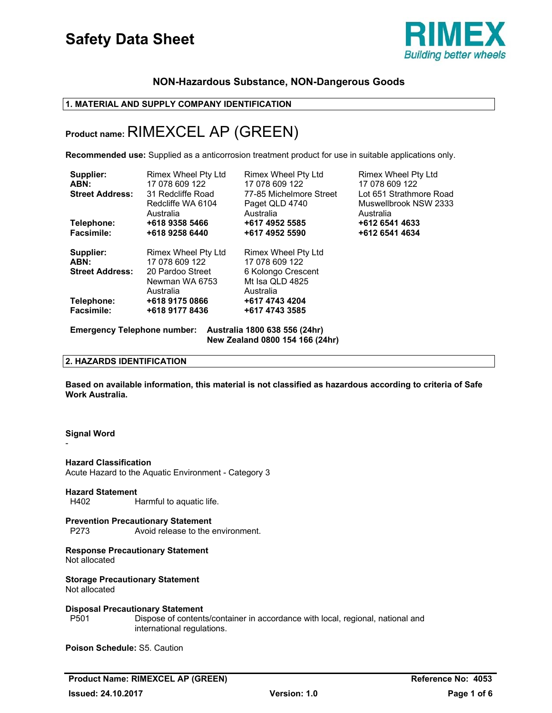

# **NON-Hazardous Substance, NON-Dangerous Goods**

# **1. MATERIAL AND SUPPLY COMPANY IDENTIFICATION**

# **Product name:** RIMEXCEL AP (GREEN)

**Recommended use:** Supplied as a anticorrosion treatment product for use in suitable applications only.

| Supplier:<br>ABN:<br><b>Street Address:</b>                                                            | Rimex Wheel Pty Ltd<br>17 078 609 122<br>31 Redcliffe Road<br>Redcliffe WA 6104<br>Australia | Rimex Wheel Pty Ltd<br>17 078 609 122<br>77-85 Michelmore Street<br>Paget QLD 4740<br>Australia | Rimex Wheel Pty Ltd<br>17 078 609 122<br>Lot 651 Strathmore Road<br>Muswellbrook NSW 2333<br>Australia |  |
|--------------------------------------------------------------------------------------------------------|----------------------------------------------------------------------------------------------|-------------------------------------------------------------------------------------------------|--------------------------------------------------------------------------------------------------------|--|
| Telephone:                                                                                             | +618 9358 5466                                                                               | +617 4952 5585                                                                                  | +612 6541 4633                                                                                         |  |
| <b>Facsimile:</b>                                                                                      | +618 9258 6440                                                                               | +617 4952 5590                                                                                  | +612 6541 4634                                                                                         |  |
| Supplier:                                                                                              | Rimex Wheel Pty Ltd                                                                          | Rimex Wheel Pty Ltd                                                                             |                                                                                                        |  |
| ABN:                                                                                                   | 17 078 609 122                                                                               | 17 078 609 122                                                                                  |                                                                                                        |  |
| <b>Street Address:</b>                                                                                 | 20 Pardoo Street                                                                             | 6 Kolongo Crescent                                                                              |                                                                                                        |  |
|                                                                                                        | Newman WA 6753                                                                               | Mt Isa QLD 4825                                                                                 |                                                                                                        |  |
|                                                                                                        | Australia                                                                                    | Australia                                                                                       |                                                                                                        |  |
| Telephone:                                                                                             | +618 9175 0866                                                                               | +617 4743 4204                                                                                  |                                                                                                        |  |
| <b>Facsimile:</b>                                                                                      | +618 9177 8436                                                                               | +617 4743 3585                                                                                  |                                                                                                        |  |
| <b>Emergency Telephone number:</b><br>Australia 1800 638 556 (24hr)<br>New Zealand 0800 154 166 (24hr) |                                                                                              |                                                                                                 |                                                                                                        |  |

# **2. HAZARDS IDENTIFICATION**

**Based on available information, this material is not classified as hazardous according to criteria of Safe Work Australia.**

# **Signal Word**

-

**Hazard Classification**  Acute Hazard to the Aquatic Environment - Category 3

# **Hazard Statement**

H402 Harmful to aquatic life.

# **Prevention Precautionary Statement**

P273 Avoid release to the environment.

# **Response Precautionary Statement**

Not allocated

**Storage Precautionary Statement**  Not allocated

# **Disposal Precautionary Statement**

P501 Dispose of contents/container in accordance with local, regional, national and international regulations.

**Poison Schedule:** S5. Caution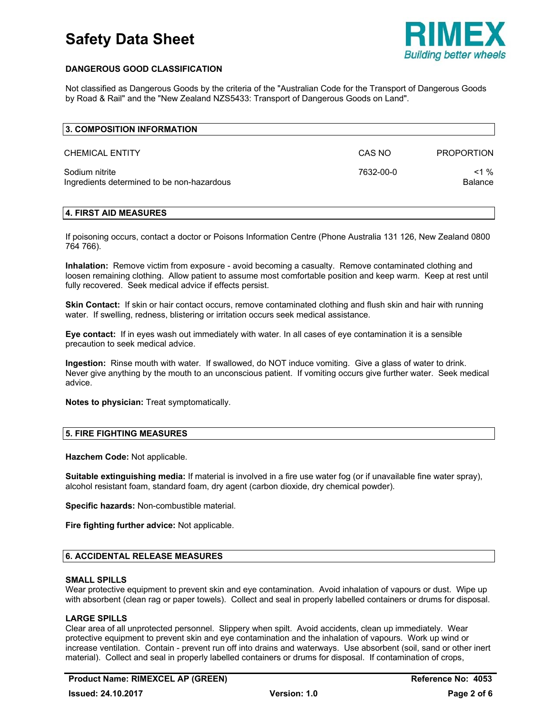

# **DANGEROUS GOOD CLASSIFICATION**

Not classified as Dangerous Goods by the criteria of the "Australian Code for the Transport of Dangerous Goods by Road & Rail" and the "New Zealand NZS5433: Transport of Dangerous Goods on Land".

| 3. COMPOSITION INFORMATION                                   |           |                           |
|--------------------------------------------------------------|-----------|---------------------------|
| <b>CHEMICAL ENTITY</b>                                       | CAS NO    | <b>PROPORTION</b>         |
| Sodium nitrite<br>Ingredients determined to be non-hazardous | 7632-00-0 | $<$ 1 %<br><b>Balance</b> |

# **4. FIRST AID MEASURES**

If poisoning occurs, contact a doctor or Poisons Information Centre (Phone Australia 131 126, New Zealand 0800 764 766).

**Inhalation:** Remove victim from exposure - avoid becoming a casualty. Remove contaminated clothing and loosen remaining clothing. Allow patient to assume most comfortable position and keep warm. Keep at rest until fully recovered. Seek medical advice if effects persist.

**Skin Contact:** If skin or hair contact occurs, remove contaminated clothing and flush skin and hair with running water. If swelling, redness, blistering or irritation occurs seek medical assistance.

**Eye contact:** If in eyes wash out immediately with water. In all cases of eye contamination it is a sensible precaution to seek medical advice.

**Ingestion:** Rinse mouth with water. If swallowed, do NOT induce vomiting. Give a glass of water to drink. Never give anything by the mouth to an unconscious patient. If vomiting occurs give further water. Seek medical advice.

**Notes to physician:** Treat symptomatically.

# **5. FIRE FIGHTING MEASURES**

**Hazchem Code:** Not applicable.

**Suitable extinguishing media:** If material is involved in a fire use water fog (or if unavailable fine water spray), alcohol resistant foam, standard foam, dry agent (carbon dioxide, dry chemical powder).

**Specific hazards:** Non-combustible material.

**Fire fighting further advice:** Not applicable.

# **6. ACCIDENTAL RELEASE MEASURES**

# **SMALL SPILLS**

Wear protective equipment to prevent skin and eye contamination. Avoid inhalation of vapours or dust. Wipe up with absorbent (clean rag or paper towels). Collect and seal in properly labelled containers or drums for disposal.

# **LARGE SPILLS**

Clear area of all unprotected personnel. Slippery when spilt. Avoid accidents, clean up immediately. Wear protective equipment to prevent skin and eye contamination and the inhalation of vapours. Work up wind or increase ventilation. Contain - prevent run off into drains and waterways. Use absorbent (soil, sand or other inert material). Collect and seal in properly labelled containers or drums for disposal. If contamination of crops,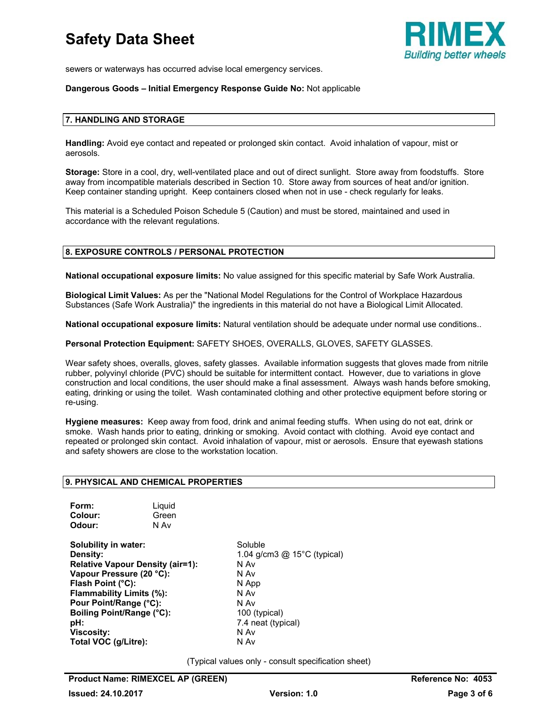

sewers or waterways has occurred advise local emergency services.

# **Dangerous Goods – Initial Emergency Response Guide No:** Not applicable

# **7. HANDLING AND STORAGE**

**Handling:** Avoid eye contact and repeated or prolonged skin contact. Avoid inhalation of vapour, mist or aerosols.

**Storage:** Store in a cool, dry, well-ventilated place and out of direct sunlight. Store away from foodstuffs. Store away from incompatible materials described in Section 10. Store away from sources of heat and/or ignition. Keep container standing upright. Keep containers closed when not in use - check regularly for leaks.

This material is a Scheduled Poison Schedule 5 (Caution) and must be stored, maintained and used in accordance with the relevant regulations.

# **8. EXPOSURE CONTROLS / PERSONAL PROTECTION**

**National occupational exposure limits:** No value assigned for this specific material by Safe Work Australia.

**Biological Limit Values:** As per the "National Model Regulations for the Control of Workplace Hazardous Substances (Safe Work Australia)" the ingredients in this material do not have a Biological Limit Allocated.

**National occupational exposure limits:** Natural ventilation should be adequate under normal use conditions..

**Personal Protection Equipment:** SAFETY SHOES, OVERALLS, GLOVES, SAFETY GLASSES.

Wear safety shoes, overalls, gloves, safety glasses. Available information suggests that gloves made from nitrile rubber, polyvinyl chloride (PVC) should be suitable for intermittent contact. However, due to variations in glove construction and local conditions, the user should make a final assessment. Always wash hands before smoking, eating, drinking or using the toilet. Wash contaminated clothing and other protective equipment before storing or re-using.

**Hygiene measures:** Keep away from food, drink and animal feeding stuffs. When using do not eat, drink or smoke. Wash hands prior to eating, drinking or smoking. Avoid contact with clothing. Avoid eye contact and repeated or prolonged skin contact. Avoid inhalation of vapour, mist or aerosols. Ensure that eyewash stations and safety showers are close to the workstation location.

# **9. PHYSICAL AND CHEMICAL PROPERTIES**

| Form:   | Liquid |
|---------|--------|
| Colour: | Green  |
| Odour:  | N Av   |

**Solubility in water:** Soluble **Density: 1.04 g/cm3 @ 15°C (typical) Relative Vapour Density (air=1):** N Av **Vapour Pressure (20 °C):** N Av **Flash Point (°C):** N App **Flammability Limits (%):** N Av **Pour Point/Range (°C):** N Av **Boiling Point/Range (°C):** 100 (typical) **pH:**  $7.4$  neat (typical) **Viscosity:** N Av **Total VOC (g/Litre):** N Av

(Typical values only - consult specification sheet)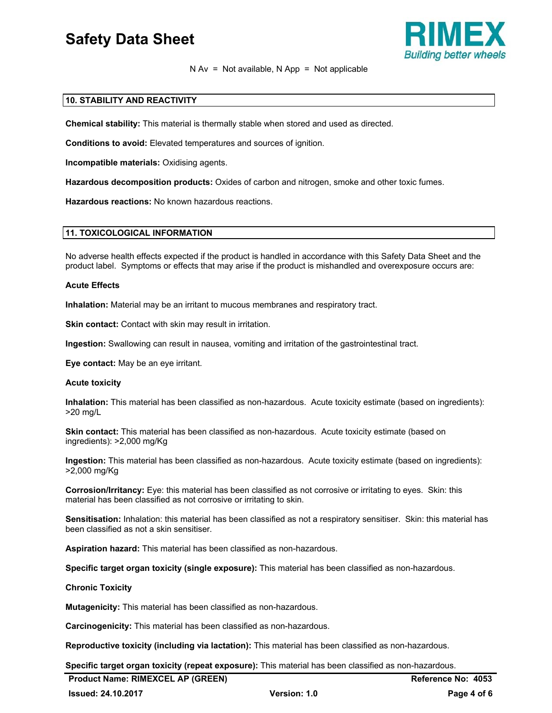

# $N Av = Not available, N App = Not applicable$

# **10. STABILITY AND REACTIVITY**

**Chemical stability:** This material is thermally stable when stored and used as directed.

**Conditions to avoid:** Elevated temperatures and sources of ignition.

**Incompatible materials:** Oxidising agents.

**Hazardous decomposition products:** Oxides of carbon and nitrogen, smoke and other toxic fumes.

**Hazardous reactions:** No known hazardous reactions.

# **11. TOXICOLOGICAL INFORMATION**

No adverse health effects expected if the product is handled in accordance with this Safety Data Sheet and the product label. Symptoms or effects that may arise if the product is mishandled and overexposure occurs are:

#### **Acute Effects**

**Inhalation:** Material may be an irritant to mucous membranes and respiratory tract.

**Skin contact:** Contact with skin may result in irritation.

**Ingestion:** Swallowing can result in nausea, vomiting and irritation of the gastrointestinal tract.

**Eye contact:** May be an eye irritant.

# **Acute toxicity**

**Inhalation:** This material has been classified as non-hazardous. Acute toxicity estimate (based on ingredients): >20 mg/L

**Skin contact:** This material has been classified as non-hazardous. Acute toxicity estimate (based on ingredients): >2,000 mg/Kg

**Ingestion:** This material has been classified as non-hazardous. Acute toxicity estimate (based on ingredients): >2,000 mg/Kg

**Corrosion/Irritancy:** Eye: this material has been classified as not corrosive or irritating to eyes. Skin: this material has been classified as not corrosive or irritating to skin.

**Sensitisation:** Inhalation: this material has been classified as not a respiratory sensitiser. Skin: this material has been classified as not a skin sensitiser.

**Aspiration hazard:** This material has been classified as non-hazardous.

**Specific target organ toxicity (single exposure):** This material has been classified as non-hazardous.

# **Chronic Toxicity**

**Mutagenicity:** This material has been classified as non-hazardous.

**Carcinogenicity:** This material has been classified as non-hazardous.

**Reproductive toxicity (including via lactation):** This material has been classified as non-hazardous.

**Specific target organ toxicity (repeat exposure):** This material has been classified as non-hazardous.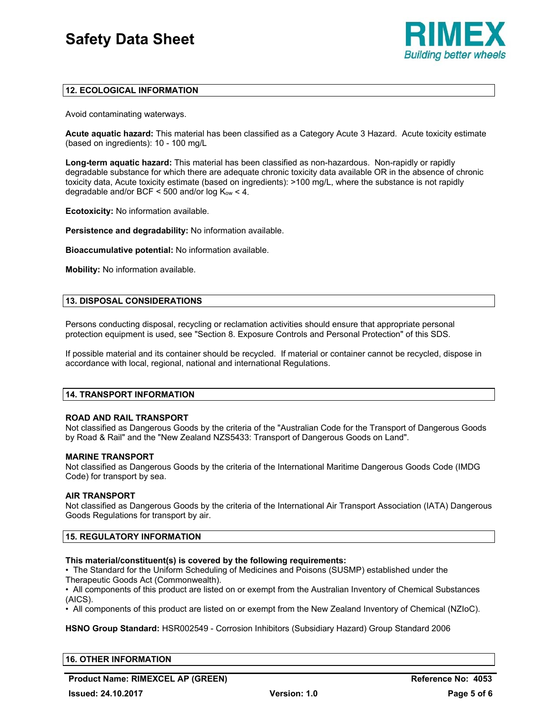

# **12. ECOLOGICAL INFORMATION**

Avoid contaminating waterways.

**Acute aquatic hazard:** This material has been classified as a Category Acute 3 Hazard. Acute toxicity estimate (based on ingredients): 10 - 100 mg/L

**Long-term aquatic hazard:** This material has been classified as non-hazardous. Non-rapidly or rapidly degradable substance for which there are adequate chronic toxicity data available OR in the absence of chronic toxicity data, Acute toxicity estimate (based on ingredients): >100 mg/L, where the substance is not rapidly degradable and/or BCF < 500 and/or log  $K_{ow}$  < 4.

**Ecotoxicity:** No information available.

**Persistence and degradability:** No information available.

**Bioaccumulative potential:** No information available.

**Mobility:** No information available.

# **13. DISPOSAL CONSIDERATIONS**

Persons conducting disposal, recycling or reclamation activities should ensure that appropriate personal protection equipment is used, see "Section 8. Exposure Controls and Personal Protection" of this SDS.

If possible material and its container should be recycled. If material or container cannot be recycled, dispose in accordance with local, regional, national and international Regulations.

# **14. TRANSPORT INFORMATION**

# **ROAD AND RAIL TRANSPORT**

Not classified as Dangerous Goods by the criteria of the "Australian Code for the Transport of Dangerous Goods by Road & Rail" and the "New Zealand NZS5433: Transport of Dangerous Goods on Land".

# **MARINE TRANSPORT**

Not classified as Dangerous Goods by the criteria of the International Maritime Dangerous Goods Code (IMDG Code) for transport by sea.

# **AIR TRANSPORT**

Not classified as Dangerous Goods by the criteria of the International Air Transport Association (IATA) Dangerous Goods Regulations for transport by air.

# **15. REGULATORY INFORMATION**

# **This material/constituent(s) is covered by the following requirements:**

• The Standard for the Uniform Scheduling of Medicines and Poisons (SUSMP) established under the Therapeutic Goods Act (Commonwealth).

• All components of this product are listed on or exempt from the Australian Inventory of Chemical Substances (AICS).

• All components of this product are listed on or exempt from the New Zealand Inventory of Chemical (NZIoC).

**HSNO Group Standard:** HSR002549 - Corrosion Inhibitors (Subsidiary Hazard) Group Standard 2006

# **16. OTHER INFORMATION**

**Product Name: RIMEXCEL AP (GREEN) Reference No: 4053**